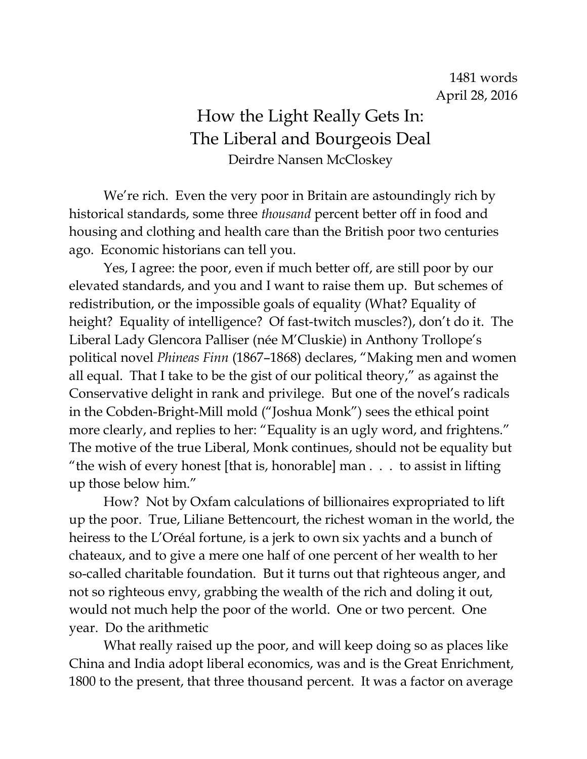## How the Light Really Gets In: The Liberal and Bourgeois Deal Deirdre Nansen McCloskey

We're rich. Even the very poor in Britain are astoundingly rich by historical standards, some three *thousand* percent better off in food and housing and clothing and health care than the British poor two centuries ago. Economic historians can tell you.

Yes, I agree: the poor, even if much better off, are still poor by our elevated standards, and you and I want to raise them up. But schemes of redistribution, or the impossible goals of equality (What? Equality of height? Equality of intelligence? Of fast-twitch muscles?), don't do it. The Liberal Lady Glencora Palliser (née M'Cluskie) in Anthony Trollope's political novel *Phineas Finn* (1867–1868) declares, "Making men and women all equal. That I take to be the gist of our political theory," as against the Conservative delight in rank and privilege. But one of the novel's radicals in the Cobden-Bright-Mill mold ("Joshua Monk") sees the ethical point more clearly, and replies to her: "Equality is an ugly word, and frightens." The motive of the true Liberal, Monk continues, should not be equality but "the wish of every honest [that is, honorable] man . . . to assist in lifting up those below him."

How? Not by Oxfam calculations of billionaires expropriated to lift up the poor. True, Liliane Bettencourt, the richest woman in the world, the heiress to the L'Oréal fortune, is a jerk to own six yachts and a bunch of chateaux, and to give a mere one half of one percent of her wealth to her so-called charitable foundation. But it turns out that righteous anger, and not so righteous envy, grabbing the wealth of the rich and doling it out, would not much help the poor of the world. One or two percent. One year. Do the arithmetic

What really raised up the poor, and will keep doing so as places like China and India adopt liberal economics, was and is the Great Enrichment, 1800 to the present, that three thousand percent. It was a factor on average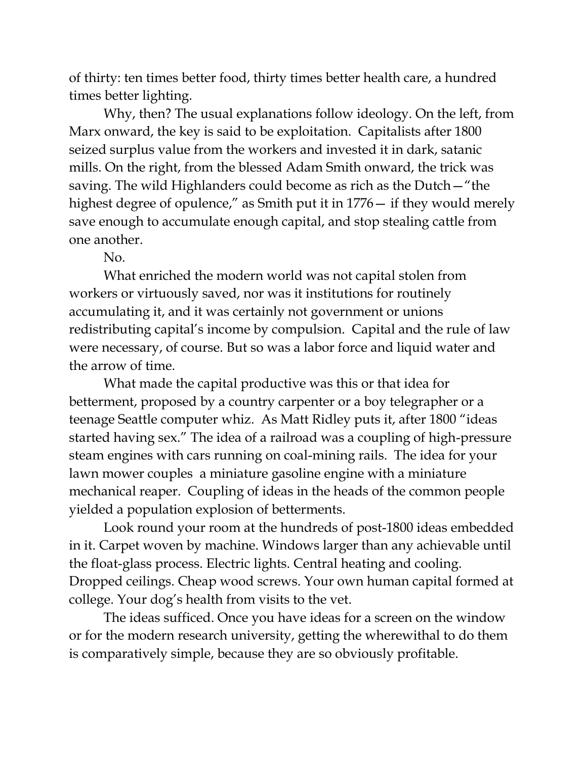of thirty: ten times better food, thirty times better health care, a hundred times better lighting.

Why, then? The usual explanations follow ideology. On the left, from Marx onward, the key is said to be exploitation. Capitalists after 1800 seized surplus value from the workers and invested it in dark, satanic mills. On the right, from the blessed Adam Smith onward, the trick was saving. The wild Highlanders could become as rich as the Dutch—"the highest degree of opulence," as Smith put it in 1776— if they would merely save enough to accumulate enough capital, and stop stealing cattle from one another.

No.

What enriched the modern world was not capital stolen from workers or virtuously saved, nor was it institutions for routinely accumulating it, and it was certainly not government or unions redistributing capital's income by compulsion. Capital and the rule of law were necessary, of course. But so was a labor force and liquid water and the arrow of time.

What made the capital productive was this or that idea for betterment, proposed by a country carpenter or a boy telegrapher or a teenage Seattle computer whiz. As Matt Ridley puts it, after 1800 "ideas started having sex." The idea of a railroad was a coupling of high-pressure steam engines with cars running on coal-mining rails. The idea for your lawn mower couples a miniature gasoline engine with a miniature mechanical reaper. Coupling of ideas in the heads of the common people yielded a population explosion of betterments.

Look round your room at the hundreds of post-1800 ideas embedded in it. Carpet woven by machine. Windows larger than any achievable until the float-glass process. Electric lights. Central heating and cooling. Dropped ceilings. Cheap wood screws. Your own human capital formed at college. Your dog's health from visits to the vet.

The ideas sufficed. Once you have ideas for a screen on the window or for the modern research university, getting the wherewithal to do them is comparatively simple, because they are so obviously profitable.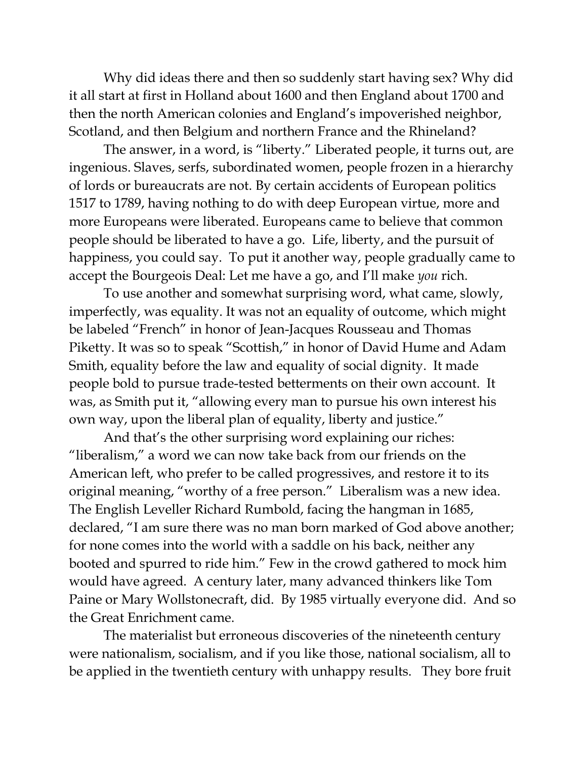Why did ideas there and then so suddenly start having sex? Why did it all start at first in Holland about 1600 and then England about 1700 and then the north American colonies and England's impoverished neighbor, Scotland, and then Belgium and northern France and the Rhineland?

The answer, in a word, is "liberty." Liberated people, it turns out, are ingenious. Slaves, serfs, subordinated women, people frozen in a hierarchy of lords or bureaucrats are not. By certain accidents of European politics 1517 to 1789, having nothing to do with deep European virtue, more and more Europeans were liberated. Europeans came to believe that common people should be liberated to have a go. Life, liberty, and the pursuit of happiness, you could say. To put it another way, people gradually came to accept the Bourgeois Deal: Let me have a go, and I'll make *you* rich.

To use another and somewhat surprising word, what came, slowly, imperfectly, was equality. It was not an equality of outcome, which might be labeled "French" in honor of Jean-Jacques Rousseau and Thomas Piketty. It was so to speak "Scottish," in honor of David Hume and Adam Smith, equality before the law and equality of social dignity. It made people bold to pursue trade-tested betterments on their own account. It was, as Smith put it, "allowing every man to pursue his own interest his own way, upon the liberal plan of equality, liberty and justice."

And that's the other surprising word explaining our riches: "liberalism," a word we can now take back from our friends on the American left, who prefer to be called progressives, and restore it to its original meaning, "worthy of a free person." Liberalism was a new idea. The English Leveller Richard Rumbold, facing the hangman in 1685, declared, "I am sure there was no man born marked of God above another; for none comes into the world with a saddle on his back, neither any booted and spurred to ride him." Few in the crowd gathered to mock him would have agreed. A century later, many advanced thinkers like Tom Paine or Mary Wollstonecraft, did. By 1985 virtually everyone did. And so the Great Enrichment came.

The materialist but erroneous discoveries of the nineteenth century were nationalism, socialism, and if you like those, national socialism, all to be applied in the twentieth century with unhappy results. They bore fruit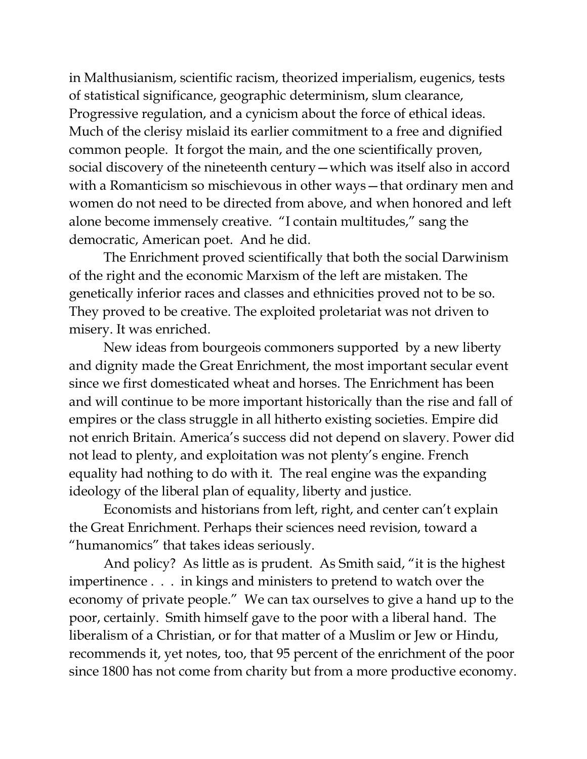in Malthusianism, scientific racism, theorized imperialism, eugenics, tests of statistical significance, geographic determinism, slum clearance, Progressive regulation, and a cynicism about the force of ethical ideas. Much of the clerisy mislaid its earlier commitment to a free and dignified common people. It forgot the main, and the one scientifically proven, social discovery of the nineteenth century—which was itself also in accord with a Romanticism so mischievous in other ways—that ordinary men and women do not need to be directed from above, and when honored and left alone become immensely creative. "I contain multitudes," sang the democratic, American poet. And he did.

The Enrichment proved scientifically that both the social Darwinism of the right and the economic Marxism of the left are mistaken. The genetically inferior races and classes and ethnicities proved not to be so. They proved to be creative. The exploited proletariat was not driven to misery. It was enriched.

New ideas from bourgeois commoners supported by a new liberty and dignity made the Great Enrichment, the most important secular event since we first domesticated wheat and horses. The Enrichment has been and will continue to be more important historically than the rise and fall of empires or the class struggle in all hitherto existing societies. Empire did not enrich Britain. America's success did not depend on slavery. Power did not lead to plenty, and exploitation was not plenty's engine. French equality had nothing to do with it. The real engine was the expanding ideology of the liberal plan of equality, liberty and justice.

Economists and historians from left, right, and center can't explain the Great Enrichment. Perhaps their sciences need revision, toward a "humanomics" that takes ideas seriously.

And policy? As little as is prudent. As Smith said, "it is the highest impertinence . . . in kings and ministers to pretend to watch over the economy of private people." We can tax ourselves to give a hand up to the poor, certainly. Smith himself gave to the poor with a liberal hand. The liberalism of a Christian, or for that matter of a Muslim or Jew or Hindu, recommends it, yet notes, too, that 95 percent of the enrichment of the poor since 1800 has not come from charity but from a more productive economy.